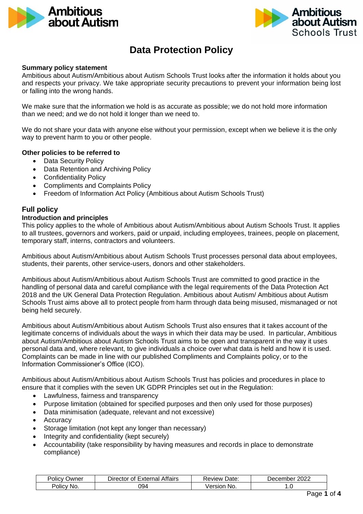



# **Data Protection Policy**

## **Summary policy statement**

Ambitious about Autism/Ambitious about Autism Schools Trust looks after the information it holds about you and respects your privacy. We take appropriate security precautions to prevent your information being lost or falling into the wrong hands.

We make sure that the information we hold is as accurate as possible; we do not hold more information than we need; and we do not hold it longer than we need to.

We do not share your data with anyone else without your permission, except when we believe it is the only way to prevent harm to you or other people.

## **Other policies to be referred to**

- Data Security Policy
- Data Retention and Archiving Policy
- Confidentiality Policy
- Compliments and Complaints Policy
- Freedom of Information Act Policy (Ambitious about Autism Schools Trust)

# **Full policy**

# **Introduction and principles**

This policy applies to the whole of Ambitious about Autism/Ambitious about Autism Schools Trust. It applies to all trustees, governors and workers, paid or unpaid, including employees, trainees, people on placement, temporary staff, interns, contractors and volunteers.

Ambitious about Autism/Ambitious about Autism Schools Trust processes personal data about employees, students, their parents, other service-users, donors and other stakeholders.

Ambitious about Autism/Ambitious about Autism Schools Trust are committed to good practice in the handling of personal data and careful compliance with the legal requirements of the Data Protection Act 2018 and the UK General Data Protection Regulation. Ambitious about Autism/ Ambitious about Autism Schools Trust aims above all to protect people from harm through data being misused, mismanaged or not being held securely.

Ambitious about Autism/Ambitious about Autism Schools Trust also ensures that it takes account of the legitimate concerns of individuals about the ways in which their data may be used. In particular, Ambitious about Autism/Ambitious about Autism Schools Trust aims to be open and transparent in the way it uses personal data and, where relevant, to give individuals a choice over what data is held and how it is used. Complaints can be made in line with our published Compliments and Complaints policy, or to the Information Commissioner's Office (ICO).

Ambitious about Autism/Ambitious about Autism Schools Trust has policies and procedures in place to ensure that it complies with the seven UK GDPR Principles set out in the Regulation:

- Lawfulness, fairness and transparency
- Purpose limitation (obtained for specified purposes and then only used for those purposes)
- Data minimisation (adequate, relevant and not excessive)
- Accuracy
- Storage limitation (not kept any longer than necessary)
- Integrity and confidentiality (kept securely)
- Accountability (take responsibility by having measures and records in place to demonstrate compliance)

| . .<br>-<br><b>'</b> Olicy<br>Owner | Affairs<br>External<br>Director of L | -<br>Date.<br><b>∢eview</b> | 2022<br>December |
|-------------------------------------|--------------------------------------|-----------------------------|------------------|
| No.<br>POIIC <sub>V</sub>           | 094                                  | √ersion<br>NO.              | .                |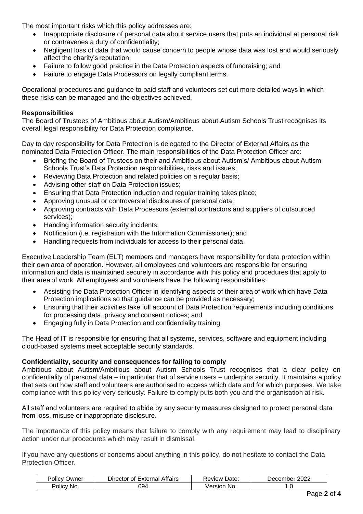The most important risks which this policy addresses are:

- Inappropriate disclosure of personal data about service users that puts an individual at personal risk or contravenes a duty of confidentiality;
- Negligent loss of data that would cause concern to people whose data was lost and would seriously affect the charity's reputation;
- Failure to follow good practice in the Data Protection aspects of fundraising; and
- Failure to engage Data Processors on legally compliant terms.

Operational procedures and guidance to paid staff and volunteers set out more detailed ways in which these risks can be managed and the objectives achieved.

# **Responsibilities**

The Board of Trustees of Ambitious about Autism/Ambitious about Autism Schools Trust recognises its overall legal responsibility for Data Protection compliance.

Day to day responsibility for Data Protection is delegated to the Director of External Affairs as the nominated Data Protection Officer. The main responsibilities of the Data Protection Officer are:

- Briefing the Board of Trustees on their and Ambitious about Autism's/ Ambitious about Autism Schools Trust's Data Protection responsibilities, risks and issues;
- Reviewing Data Protection and related policies on a regular basis;
- Advising other staff on Data Protection issues;
- Ensuring that Data Protection induction and regular training takes place;
- Approving unusual or controversial disclosures of personal data;
- Approving contracts with Data Processors (external contractors and suppliers of outsourced services);
- Handing information security incidents;
- Notification (i.e. registration with the Information Commissioner); and
- Handling requests from individuals for access to their personal data.

Executive Leadership Team (ELT) members and managers have responsibility for data protection within their own area of operation. However, all employees and volunteers are responsible for ensuring information and data is maintained securely in accordance with this policy and procedures that apply to their area of work. All employees and volunteers have the following responsibilities:

- Assisting the Data Protection Officer in identifying aspects of their area of work which have Data Protection implications so that guidance can be provided as necessary;
- Ensuring that their activities take full account of Data Protection requirements including conditions for processing data, privacy and consent notices; and
- Engaging fully in Data Protection and confidentiality training.

The Head of IT is responsible for ensuring that all systems, services, software and equipment including cloud-based systems meet acceptable security standards.

# **Confidentiality, security and consequences for failing to comply**

Ambitious about Autism/Ambitious about Autism Schools Trust recognises that a clear policy on confidentiality of personal data – in particular that of service users – underpins security. It maintains a policy that sets out how staff and volunteers are authorised to access which data and for which purposes. We take compliance with this policy very seriously. Failure to comply puts both you and the organisation at risk.

All staff and volunteers are required to abide by any security measures designed to protect personal data from loss, misuse or inappropriate disclosure.

The importance of this policy means that failure to comply with any requirement may lead to disciplinary action under our procedures which may result in dismissal.

If you have any questions or concerns about anything in this policy, do not hesitate to contact the Data Protection Officer.

| Policy <<br>Owner | Affairs<br>Director of $F$<br><b>External</b> | Date:<br>Review | 2022<br>December |
|-------------------|-----------------------------------------------|-----------------|------------------|
| Policy<br>No.     | 094                                           | No.<br>Version  | .                |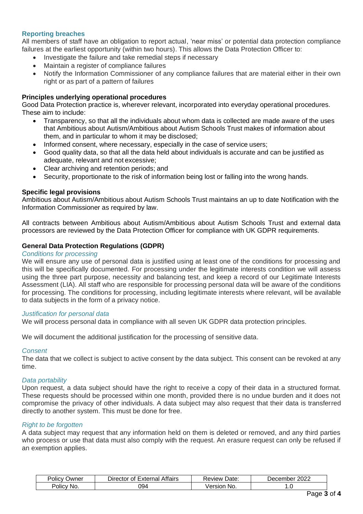# **Reporting breaches**

All members of staff have an obligation to report actual, 'near miss' or potential data protection compliance failures at the earliest opportunity (within two hours). This allows the Data Protection Officer to:

- Investigate the failure and take remedial steps if necessary
- Maintain a register of compliance failures
- Notify the Information Commissioner of any compliance failures that are material either in their own right or as part of a pattern of failures

# **Principles underlying operational procedures**

Good Data Protection practice is, wherever relevant, incorporated into everyday operational procedures. These aim to include:

- Transparency, so that all the individuals about whom data is collected are made aware of the uses that Ambitious about Autism/Ambitious about Autism Schools Trust makes of information about them, and in particular to whom it may be disclosed;
- Informed consent, where necessary, especially in the case of service users;
- Good quality data, so that all the data held about individuals is accurate and can be justified as adequate, relevant and not excessive;
- Clear archiving and retention periods; and
- Security, proportionate to the risk of information being lost or falling into the wrong hands.

# **Specific legal provisions**

Ambitious about Autism/Ambitious about Autism Schools Trust maintains an up to date Notification with the Information Commissioner as required by law.

All contracts between Ambitious about Autism/Ambitious about Autism Schools Trust and external data processors are reviewed by the Data Protection Officer for compliance with UK GDPR requirements.

# **General Data Protection Regulations (GDPR)**

## *Conditions for processing*

We will ensure any use of personal data is justified using at least one of the conditions for processing and this will be specifically documented. For processing under the legitimate interests condition we will assess using the three part purpose, necessity and balancing test, and keep a record of our Legitimate Interests Assessment (LIA). All staff who are responsible for processing personal data will be aware of the conditions for processing. The conditions for processing, including legitimate interests where relevant, will be available to data subjects in the form of a privacy notice.

## *Justification for personal data*

We will process personal data in compliance with all seven UK GDPR data protection principles.

We will document the additional justification for the processing of sensitive data.

#### *Consent*

The data that we collect is subject to active consent by the data subject. This consent can be revoked at any time.

#### *Data portability*

Upon request, a data subject should have the right to receive a copy of their data in a structured format. These requests should be processed within one month, provided there is no undue burden and it does not compromise the privacy of other individuals. A data subject may also request that their data is transferred directly to another system. This must be done for free.

# *Right to be forgotten*

A data subject may request that any information held on them is deleted or removed, and any third parties who process or use that data must also comply with the request. An erasure request can only be refused if an exemption applies.

| . .<br>שwner<br>"CV<br>'olic | Affairs<br>External<br>⊃irector ⊴<br>0t | -<br>Date:<br>Review | റററ<br>December<br>∵∠UZ∠ |
|------------------------------|-----------------------------------------|----------------------|--------------------------|
| No.<br>POIIC <sub>V</sub>    | 094                                     | .<br>NO.             | .                        |